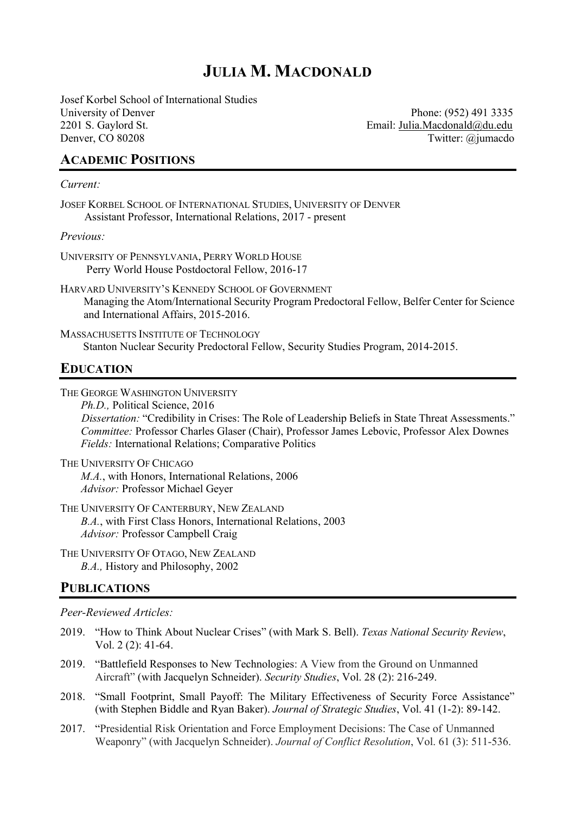# **JULIA M. MACDONALD**

Josef Korbel School of International Studies University of Denver Phone: (952) 491 3335 2201 S. Gaylord St. Email: Julia.Macdonald@du.edu Denver, CO 80208 Twitter: @jumacdo

### **ACADEMIC POSITIONS**

#### *Current:*

JOSEF KORBEL SCHOOL OF INTERNATIONAL STUDIES, UNIVERSITY OF DENVER Assistant Professor, International Relations, 2017 - present

*Previous:*

- UNIVERSITY OF PENNSYLVANIA, PERRY WORLD HOUSE Perry World House Postdoctoral Fellow, 2016-17
- HARVARD UNIVERSITY'S KENNEDY SCHOOL OF GOVERNMENT Managing the Atom/International Security Program Predoctoral Fellow, Belfer Center for Science and International Affairs, 2015-2016.

MASSACHUSETTS INSTITUTE OF TECHNOLOGY Stanton Nuclear Security Predoctoral Fellow, Security Studies Program, 2014-2015.

# **EDUCATION**

THE GEORGE WASHINGTON UNIVERSITY

*Ph.D.,* Political Science, 2016 *Dissertation:* "Credibility in Crises: The Role of Leadership Beliefs in State Threat Assessments." *Committee:* Professor Charles Glaser (Chair), Professor James Lebovic, Professor Alex Downes *Fields:* International Relations; Comparative Politics

THE UNIVERSITY OF CHICAGO *M.A.*, with Honors, International Relations, 2006 *Advisor:* Professor Michael Geyer

THE UNIVERSITY OF CANTERBURY, NEW ZEALAND *B.A.*, with First Class Honors, International Relations, 2003 *Advisor:* Professor Campbell Craig

THE UNIVERSITY OF OTAGO, NEW ZEALAND *B.A.,* History and Philosophy, 2002

## **PUBLICATIONS**

*Peer-Reviewed Articles:*

- 2019. "How to Think About Nuclear Crises" (with Mark S. Bell). *Texas National Security Review*, Vol. 2 (2): 41-64.
- 2019. "Battlefield Responses to New Technologies: A View from the Ground on Unmanned Aircraft" (with Jacquelyn Schneider). *Security Studies*, Vol. 28 (2): 216-249.
- 2018. "Small Footprint, Small Payoff: The Military Effectiveness of Security Force Assistance" (with Stephen Biddle and Ryan Baker). *Journal of Strategic Studies*, Vol. 41 (1-2): 89-142.
- 2017. "Presidential Risk Orientation and Force Employment Decisions: The Case of Unmanned Weaponry" (with Jacquelyn Schneider). *Journal of Conflict Resolution*, Vol. 61 (3): 511-536.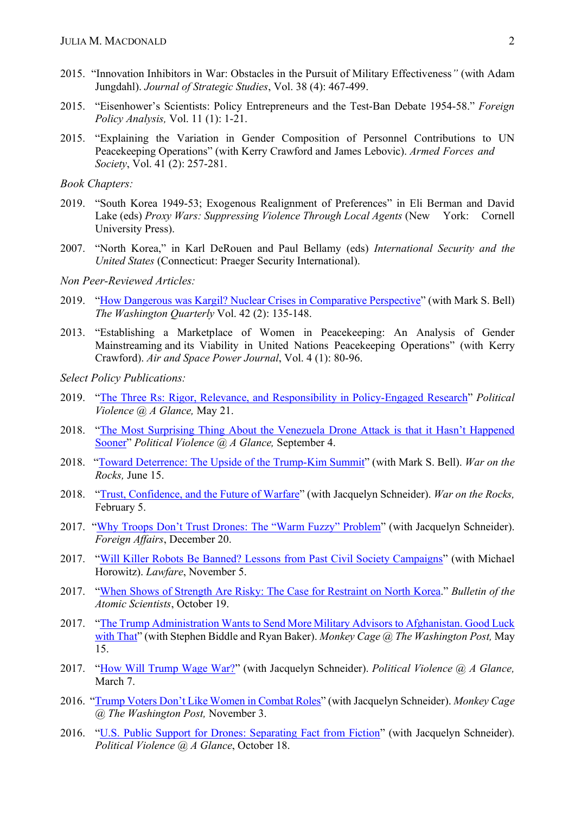- 2015. "Innovation Inhibitors in War: Obstacles in the Pursuit of Military Effectiveness*"* (with Adam Jungdahl). *Journal of Strategic Studies*, Vol. 38 (4): 467-499.
- 2015. "Eisenhower's Scientists: Policy Entrepreneurs and the Test-Ban Debate 1954-58." *Foreign Policy Analysis,* Vol. 11 (1): 1-21.
- 2015. "Explaining the Variation in Gender Composition of Personnel Contributions to UN Peacekeeping Operations" (with Kerry Crawford and James Lebovic). *Armed Forces and Society*, Vol. 41 (2): 257-281.

*Book Chapters:*

- 2019. "South Korea 1949-53; Exogenous Realignment of Preferences" in Eli Berman and David Lake (eds) *Proxy Wars: Suppressing Violence Through Local Agents* (New York: Cornell University Press).
- 2007. "North Korea," in Karl DeRouen and Paul Bellamy (eds) *International Security and the United States* (Connecticut: Praeger Security International).

*Non Peer-Reviewed Articles:*

- 2019. "How Dangerous was Kargil? Nuclear Crises in Comparative Perspective" (with Mark S. Bell) *The Washington Quarterly* Vol. 42 (2): 135-148.
- 2013. "Establishing a Marketplace of Women in Peacekeeping: An Analysis of Gender Mainstreaming and its Viability in United Nations Peacekeeping Operations" (with Kerry Crawford). *Air and Space Power Journal*, Vol. 4 (1): 80-96.

*Select Policy Publications:*

- 2019. "The Three Rs: Rigor, Relevance, and Responsibility in Policy-Engaged Research" *Political Violence @ A Glance,* May 21.
- 2018. "The Most Surprising Thing About the Venezuela Drone Attack is that it Hasn't Happened Sooner" *Political Violence @ A Glance,* September 4.
- 2018. "Toward Deterrence: The Upside of the Trump-Kim Summit" (with Mark S. Bell). *War on the Rocks,* June 15.
- 2018. "Trust, Confidence, and the Future of Warfare" (with Jacquelyn Schneider). *War on the Rocks,*  February 5.
- 2017. "Why Troops Don't Trust Drones: The "Warm Fuzzy" Problem" (with Jacquelyn Schneider). *Foreign Affairs*, December 20.
- 2017. "Will Killer Robots Be Banned? Lessons from Past Civil Society Campaigns" (with Michael Horowitz). *Lawfare*, November 5.
- 2017. "When Shows of Strength Are Risky: The Case for Restraint on North Korea." *Bulletin of the Atomic Scientists*, October 19.
- 2017. "The Trump Administration Wants to Send More Military Advisors to Afghanistan. Good Luck with That" (with Stephen Biddle and Ryan Baker). *Monkey Cage @ The Washington Post,* May 15.
- 2017. "How Will Trump Wage War?" (with Jacquelyn Schneider). *Political Violence @ A Glance,*  March 7.
- 2016. "Trump Voters Don't Like Women in Combat Roles" (with Jacquelyn Schneider). *Monkey Cage @ The Washington Post,* November 3.
- 2016. "U.S. Public Support for Drones: Separating Fact from Fiction" (with Jacquelyn Schneider). *Political Violence @ A Glance*, October 18.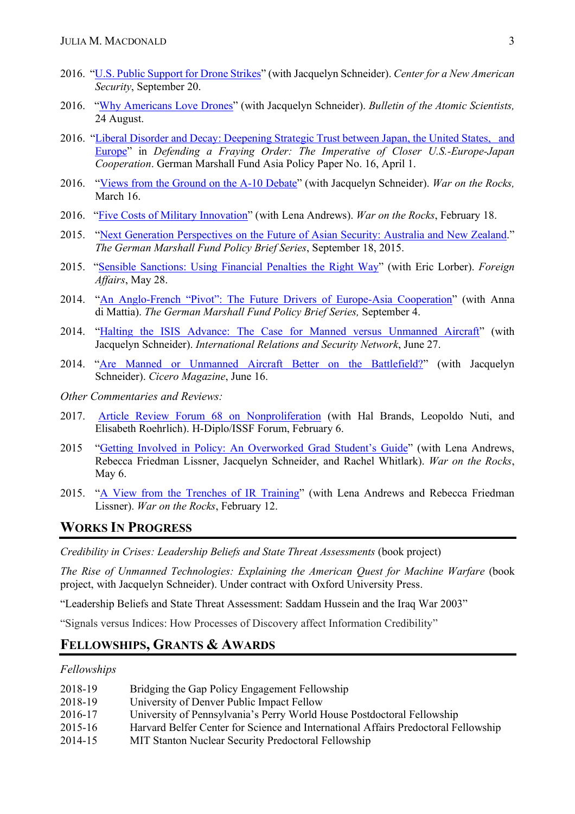- 2016. "U.S. Public Support for Drone Strikes" (with Jacquelyn Schneider). *Center for a New American Security*, September 20.
- 2016. "Why Americans Love Drones" (with Jacquelyn Schneider). *Bulletin of the Atomic Scientists,*  24 August.
- 2016. "Liberal Disorder and Decay: Deepening Strategic Trust between Japan, the United States, and Europe" in *Defending a Fraying Order: The Imperative of Closer U.S.-Europe-Japan Cooperation*. German Marshall Fund Asia Policy Paper No. 16, April 1.
- 2016. "Views from the Ground on the A-10 Debate" (with Jacquelyn Schneider). *War on the Rocks,*  March 16.
- 2016. "Five Costs of Military Innovation" (with Lena Andrews). *War on the Rocks*, February 18.
- 2015. "Next Generation Perspectives on the Future of Asian Security: Australia and New Zealand." *The German Marshall Fund Policy Brief Series*, September 18, 2015.
- 2015. "Sensible Sanctions: Using Financial Penalties the Right Way" (with Eric Lorber). *Foreign Affairs*, May 28.
- 2014. "An Anglo-French "Pivot": The Future Drivers of Europe-Asia Cooperation" (with Anna di Mattia). *The German Marshall Fund Policy Brief Series,* September 4.
- 2014. "Halting the ISIS Advance: The Case for Manned versus Unmanned Aircraft" (with Jacquelyn Schneider). *International Relations and Security Network*, June 27.
- 2014. "Are Manned or Unmanned Aircraft Better on the Battlefield?" (with Jacquelyn Schneider). *Cicero Magazine*, June 16.
- *Other Commentaries and Reviews:*
- 2017. Article Review Forum 68 on Nonproliferation (with Hal Brands, Leopoldo Nuti, and Elisabeth Roehrlich). H-Diplo/ISSF Forum, February 6.
- 2015 "Getting Involved in Policy: An Overworked Grad Student's Guide" (with Lena Andrews, Rebecca Friedman Lissner, Jacquelyn Schneider, and Rachel Whitlark). *War on the Rocks*, May 6.
- 2015. "A View from the Trenches of IR Training" (with Lena Andrews and Rebecca Friedman Lissner). *War on the Rocks*, February 12.

## **WORKS IN PROGRESS**

*Credibility in Crises: Leadership Beliefs and State Threat Assessments (book project)* 

*The Rise of Unmanned Technologies: Explaining the American Quest for Machine Warfare* (book project, with Jacquelyn Schneider). Under contract with Oxford University Press.

"Leadership Beliefs and State Threat Assessment: Saddam Hussein and the Iraq War 2003"

"Signals versus Indices: How Processes of Discovery affect Information Credibility"

# **FELLOWSHIPS, GRANTS & AWARDS**

#### *Fellowships*

| 2018-19 | Bridging the Gap Policy Engagement Fellowship                                      |
|---------|------------------------------------------------------------------------------------|
| 2018-19 | University of Denver Public Impact Fellow                                          |
| 2016-17 | University of Pennsylvania's Perry World House Postdoctoral Fellowship             |
| 2015-16 | Harvard Belfer Center for Science and International Affairs Predoctoral Fellowship |
| 2014-15 | <b>MIT Stanton Nuclear Security Predoctoral Fellowship</b>                         |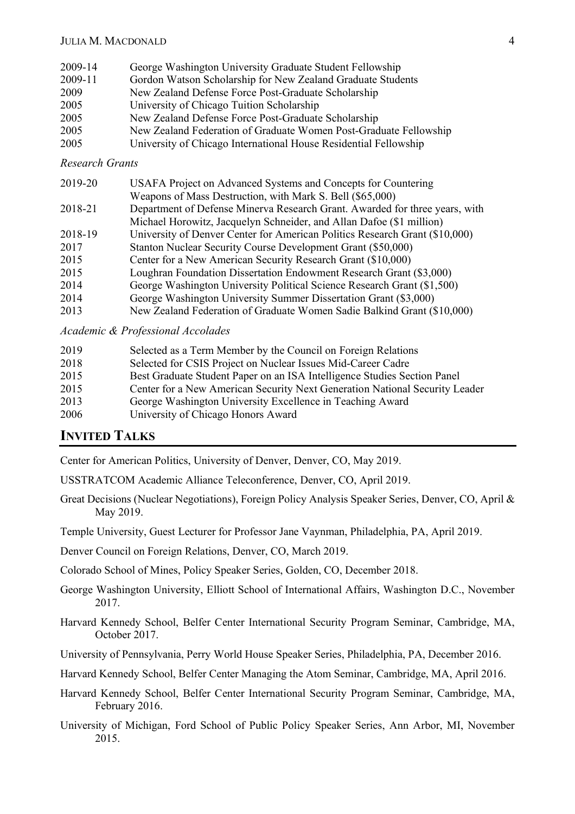| 2009-14 | George Washington University Graduate Student Fellowship          |
|---------|-------------------------------------------------------------------|
| 2009-11 | Gordon Watson Scholarship for New Zealand Graduate Students       |
| 2009    | New Zealand Defense Force Post-Graduate Scholarship               |
| 2005    | University of Chicago Tuition Scholarship                         |
| 2005    | New Zealand Defense Force Post-Graduate Scholarship               |
| 2005    | New Zealand Federation of Graduate Women Post-Graduate Fellowship |
| 2005    | University of Chicago International House Residential Fellowship  |
|         |                                                                   |

#### *Research Grants*

| 2019-20 | USAFA Project on Advanced Systems and Concepts for Countering               |
|---------|-----------------------------------------------------------------------------|
|         | Weapons of Mass Destruction, with Mark S. Bell (\$65,000)                   |
| 2018-21 | Department of Defense Minerva Research Grant. Awarded for three years, with |
|         | Michael Horowitz, Jacquelyn Schneider, and Allan Dafoe (\$1 million)        |
| 2018-19 | University of Denver Center for American Politics Research Grant (\$10,000) |
| 2017    | Stanton Nuclear Security Course Development Grant (\$50,000)                |
| 2015    | Center for a New American Security Research Grant (\$10,000)                |
| 2015    | Loughran Foundation Dissertation Endowment Research Grant (\$3,000)         |
| 2014    | George Washington University Political Science Research Grant (\$1,500)     |
| 2014    | George Washington University Summer Dissertation Grant (\$3,000)            |
| 2013    | New Zealand Federation of Graduate Women Sadie Balkind Grant (\$10,000)     |

*Academic & Professional Accolades*

| 2019 | Selected as a Term Member by the Council on Foreign Relations               |
|------|-----------------------------------------------------------------------------|
| 2018 | Selected for CSIS Project on Nuclear Issues Mid-Career Cadre                |
| 2015 | Best Graduate Student Paper on an ISA Intelligence Studies Section Panel    |
| 2015 | Center for a New American Security Next Generation National Security Leader |
| 2013 | George Washington University Excellence in Teaching Award                   |
| 2006 | University of Chicago Honors Award                                          |

### **INVITED TALKS**

Center for American Politics, University of Denver, Denver, CO, May 2019.

USSTRATCOM Academic Alliance Teleconference, Denver, CO, April 2019.

- Great Decisions (Nuclear Negotiations), Foreign Policy Analysis Speaker Series, Denver, CO, April & May 2019.
- Temple University, Guest Lecturer for Professor Jane Vaynman, Philadelphia, PA, April 2019.
- Denver Council on Foreign Relations, Denver, CO, March 2019.

Colorado School of Mines, Policy Speaker Series, Golden, CO, December 2018.

- George Washington University, Elliott School of International Affairs, Washington D.C., November 2017.
- Harvard Kennedy School, Belfer Center International Security Program Seminar, Cambridge, MA, October 2017.

University of Pennsylvania, Perry World House Speaker Series, Philadelphia, PA, December 2016.

Harvard Kennedy School, Belfer Center Managing the Atom Seminar, Cambridge, MA, April 2016.

- Harvard Kennedy School, Belfer Center International Security Program Seminar, Cambridge, MA, February 2016.
- University of Michigan, Ford School of Public Policy Speaker Series, Ann Arbor, MI, November 2015.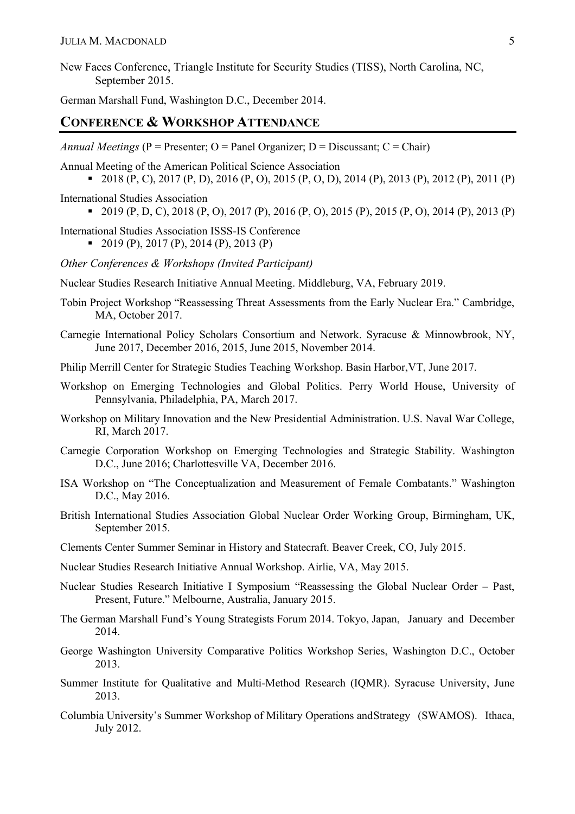New Faces Conference, Triangle Institute for Security Studies (TISS), North Carolina, NC, September 2015.

German Marshall Fund, Washington D.C., December 2014.

### **CONFERENCE & WORKSHOP ATTENDANCE**

*Annual Meetings* ( $P =$  Presenter;  $Q =$  Panel Organizer;  $D =$  Discussant;  $C =$  Chair)

Annual Meeting of the American Political Science Association

- 2018 (P, C), 2017 (P, D), 2016 (P, O), 2015 (P, O, D), 2014 (P), 2013 (P), 2012 (P), 2011 (P)
- International Studies Association
	- 2019  $(P, D, C)$ , 2018  $(P, O)$ , 2017  $(P)$ , 2016  $(P, O)$ , 2015  $(P)$ , 2015  $(P, O)$ , 2014  $(P)$ , 2013  $(P)$
- International Studies Association ISSS-IS Conference  $\bullet$  2019 (P), 2017 (P), 2014 (P), 2013 (P)
- *Other Conferences & Workshops (Invited Participant)*
- Nuclear Studies Research Initiative Annual Meeting. Middleburg, VA, February 2019.
- Tobin Project Workshop "Reassessing Threat Assessments from the Early Nuclear Era." Cambridge, MA, October 2017.
- Carnegie International Policy Scholars Consortium and Network. Syracuse & Minnowbrook, NY, June 2017, December 2016, 2015, June 2015, November 2014.
- Philip Merrill Center for Strategic Studies Teaching Workshop. Basin Harbor,VT, June 2017.
- Workshop on Emerging Technologies and Global Politics. Perry World House, University of Pennsylvania, Philadelphia, PA, March 2017.
- Workshop on Military Innovation and the New Presidential Administration. U.S. Naval War College, RI, March 2017.
- Carnegie Corporation Workshop on Emerging Technologies and Strategic Stability. Washington D.C., June 2016; Charlottesville VA, December 2016.
- ISA Workshop on "The Conceptualization and Measurement of Female Combatants." Washington D.C., May 2016.
- British International Studies Association Global Nuclear Order Working Group, Birmingham, UK, September 2015.
- Clements Center Summer Seminar in History and Statecraft. Beaver Creek, CO, July 2015.
- Nuclear Studies Research Initiative Annual Workshop. Airlie, VA, May 2015.
- Nuclear Studies Research Initiative I Symposium "Reassessing the Global Nuclear Order Past, Present, Future." Melbourne, Australia, January 2015.
- The German Marshall Fund's Young Strategists Forum 2014. Tokyo, Japan, January and December 2014.
- George Washington University Comparative Politics Workshop Series, Washington D.C., October 2013.
- Summer Institute for Qualitative and Multi-Method Research (IQMR). Syracuse University, June 2013.
- Columbia University's Summer Workshop of Military Operations andStrategy (SWAMOS). Ithaca, July 2012.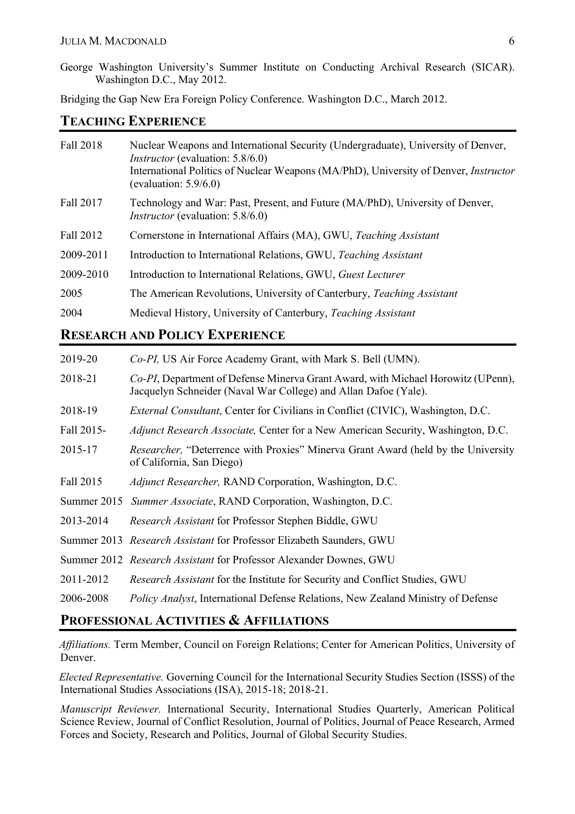George Washington University's Summer Institute on Conducting Archival Research (SICAR). Washington D.C., May 2012.

Bridging the Gap New Era Foreign Policy Conference. Washington D.C., March 2012.

### **TEACHING EXPERIENCE**

| Fall 2018 | Nuclear Weapons and International Security (Undergraduate), University of Denver,<br><i>Instructor</i> (evaluation: 5.8/6.0) |
|-----------|------------------------------------------------------------------------------------------------------------------------------|
|           | International Politics of Nuclear Weapons (MA/PhD), University of Denver, <i>Instructor</i><br>(evaluation: $5.9/6.0$ )      |
| Fall 2017 | Technology and War: Past, Present, and Future (MA/PhD), University of Denver,<br><i>Instructor</i> (evaluation: 5.8/6.0)     |
| Fall 2012 | Cornerstone in International Affairs (MA), GWU, Teaching Assistant                                                           |
| 2009-2011 | Introduction to International Relations, GWU, Teaching Assistant                                                             |
| 2009-2010 | Introduction to International Relations, GWU, Guest Lecturer                                                                 |
| 2005      | The American Revolutions, University of Canterbury, Teaching Assistant                                                       |
| 2004      | Medieval History, University of Canterbury, Teaching Assistant                                                               |

# **RESEARCH AND POLICY EXPERIENCE**

| 2019-20     | Co-PI, US Air Force Academy Grant, with Mark S. Bell (UMN).                                                                                         |
|-------------|-----------------------------------------------------------------------------------------------------------------------------------------------------|
| 2018-21     | Co-PI, Department of Defense Minerva Grant Award, with Michael Horowitz (UPenn),<br>Jacquelyn Schneider (Naval War College) and Allan Dafoe (Yale). |
| 2018-19     | <i>External Consultant</i> , Center for Civilians in Conflict (CIVIC), Washington, D.C.                                                             |
| Fall 2015-  | <i>Adjunct Research Associate, Center for a New American Security, Washington, D.C.</i>                                                             |
| 2015-17     | <i>Researcher</i> , "Deterrence with Proxies" Minerva Grant Award (held by the University<br>of California, San Diego)                              |
| Fall 2015   | <i>Adjunct Researcher, RAND Corporation, Washington, D.C.</i>                                                                                       |
| Summer 2015 | <i>Summer Associate, RAND Corporation, Washington, D.C.</i>                                                                                         |
| 2013-2014   | Research Assistant for Professor Stephen Biddle, GWU                                                                                                |
|             | Summer 2013 Research Assistant for Professor Elizabeth Saunders, GWU                                                                                |
|             | Summer 2012 Research Assistant for Professor Alexander Downes, GWU                                                                                  |
| 2011-2012   | <i>Research Assistant</i> for the Institute for Security and Conflict Studies, GWU                                                                  |
| 2006-2008   | <i>Policy Analyst</i> , International Defense Relations, New Zealand Ministry of Defense                                                            |

## **PROFESSIONAL ACTIVITIES & AFFILIATIONS**

*Affiliations.* Term Member, Council on Foreign Relations; Center for American Politics, University of Denver.

*Elected Representative.* Governing Council for the International Security Studies Section (ISSS) of the International Studies Associations (ISA), 2015-18; 2018-21.

*Manuscript Reviewer.* International Security, International Studies Quarterly, American Political Science Review, Journal of Conflict Resolution, Journal of Politics, Journal of Peace Research, Armed Forces and Society, Research and Politics, Journal of Global Security Studies.